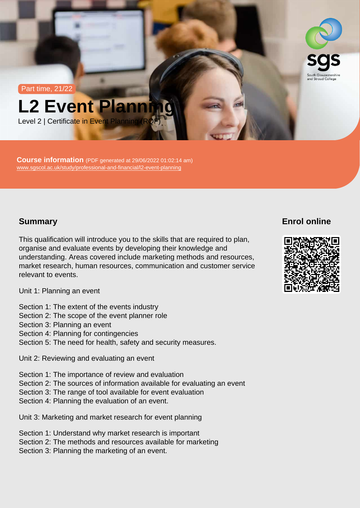Part time, 21/22

# L2 Event Planning

Level 2 | Certificate in Event Planning (RQF)

Course information (PDF generated at 29/06/2022 01:02:14 am) [www.sgscol.ac.uk/study/professional-and-financial/l2-event-planning](https://www.sgscol.ac.uk/study/professional-and-financial/l2-event-planning)

## **Summary**

Enrol online

This qualification will introduce you to the skills that are required to plan, organise and evaluate events by developing their knowledge and understanding. Areas covered include marketing methods and resources, market research, human resources, communication and customer service relevant to events.

Unit 1: Planning an event

- Section 1: The extent of the events industry
- Section 2: The scope of the event planner role
- Section 3: Planning an event
- Section 4: Planning for contingencies
- Section 5: The need for health, safety and security measures.

Unit 2: Reviewing and evaluating an event

- Section 1: The importance of review and evaluation
- Section 2: The sources of information available for evaluating an event
- Section 3: The range of tool available for event evaluation
- Section 4: Planning the evaluation of an event.

Unit 3: Marketing and market research for event planning

- Section 1: Understand why market research is important
- Section 2: The methods and resources available for marketing
- Section 3: Planning the marketing of an event.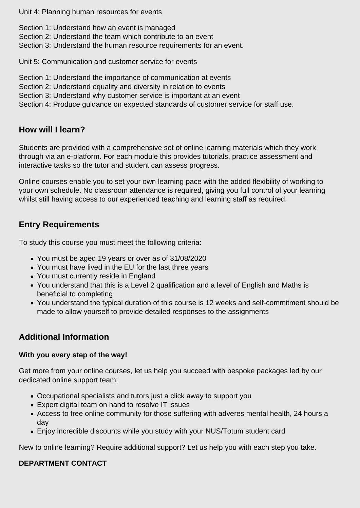Unit 4: Planning human resources for events

Section 1: Understand how an event is managed

Section 2: Understand the team which contribute to an event

Section 3: Understand the human resource requirements for an event.

Unit 5: Communication and customer service for events

Section 1: Understand the importance of communication at events

Section 2: Understand equality and diversity in relation to events

Section 3: Understand why customer service is important at an event

Section 4: Produce guidance on expected standards of customer service for staff use.

## **How will I learn?**

Students are provided with a comprehensive set of online learning materials which they work through via an e-platform. For each module this provides tutorials, practice assessment and interactive tasks so the tutor and student can assess progress.

Online courses enable you to set your own learning pace with the added flexibility of working to your own schedule. No classroom attendance is required, giving you full control of your learning whilst still having access to our experienced teaching and learning staff as required.

# **Entry Requirements**

To study this course you must meet the following criteria:

- You must be aged 19 years or over as of 31/08/2020
- You must have lived in the EU for the last three years
- You must currently reside in England
- You understand that this is a Level 2 qualification and a level of English and Maths is beneficial to completing
- You understand the typical duration of this course is 12 weeks and self-commitment should be made to allow yourself to provide detailed responses to the assignments

# **Additional Information**

#### **With you every step of the way!**

Get more from your online courses, let us help you succeed with bespoke packages led by our dedicated online support team:

- Occupational specialists and tutors just a click away to support you
- Expert digital team on hand to resolve IT issues
- Access to free online community for those suffering with adveres mental health, 24 hours a day
- Enjoy incredible discounts while you study with your NUS/Totum student card

New to online learning? Require additional support? Let us help you with each step you take.

## **DEPARTMENT CONTACT**